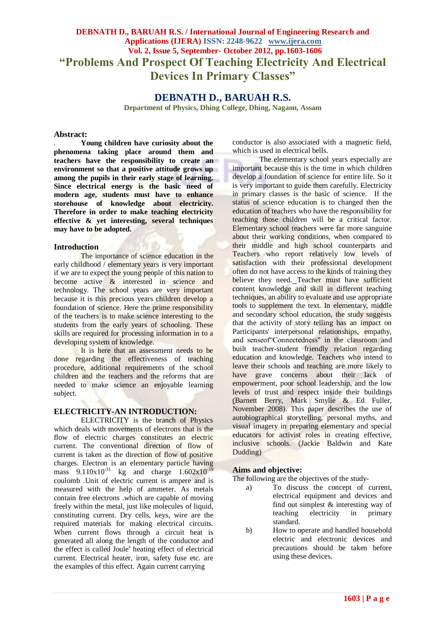# **DEBNATH D., BARUAH R.S. / International Journal of Engineering Research and Applications (IJERA) ISSN: 2248-9622 www.ijera.com Vol. 2, Issue 5, September- October 2012, pp.1603-1606 "Problems And Prospect Of Teaching Electricity And Electrical Devices In Primary Classes"**

## **DEBNATH D., BARUAH R.S.**

**Department of Physics, Dhing College, Dhing, Nagaon, Assam**

### **Abstract:**

. **Young children have curiosity about the phenomena taking place around them and teachers have the responsibility to create an environment so that a positive attitude grows up among the pupils in their early stage of learning. Since electrical energy is the basic need of modern age, students must have to enhance storehouse of knowledge about electricity. Therefore in order to make teaching electricity effective & yet interesting, several techniques may have to be adopted.**

#### **Introduction**

The importance of science education in the early childhood / elementary years is very important if we are to expect the young people of this nation to become active & interested in science and technology. The school years are very important because it is this precious years children develop a foundation of science. Here the prime responsibility of the teachers is to make science interesting to the students from the early years of schooling. These skills are required for processing information in to a developing system of knowledge.

It is here that an assessment needs to be done regarding the effectiveness of teaching procedure, additional requirements of the school children and the teachers and the reforms that are needed to make science an enjoyable learning subject.

### **ELECTRICITY-AN INTRODUCTION:**

ELECTRICITY is the branch of Physics which deals with movements of electrons that is the flow of electric charges constitutes an electric current. The conventional direction of flow of current is taken as the direction of flow of positive charges. Electron is an elementary particle having mass  $9.110x10^{-31}$  kg and charge  $1.602x10^{-19}$ coulomb .Unit of electric current is ampere and is measured with the help of ammeter. As metals contain free electrons .which are capable of moving freely within the metal, just like molecules of liquid, constituting current. Dry cells, keys, wire are the required materials for making electrical circuits. When current flows through a circuit heat is generated all along the length of the conductor and the effect is called Joule<sup>s</sup> heating effect of electrical current. Electrical heater, iron, safety fuse etc. are the examples of this effect. Again current carrying

conductor is also associated with a magnetic field, which is used in electrical bells.

The elementary school years especially are important because this is the time in which children develop a foundation of science for entire life. So it is very important to guide them carefully. Electricity in primary classes is the basic of science. If the status of science education is to changed then the education of teachers who have the responsibility for teaching those children will be a critical factor. Elementary school teachers were far more sanguine about their working conditions, when compared to their middle and high school counterparts and Teachers who report relatively low levels of satisfaction with their professional development often do not have access to the kinds of training they believe they need. Teacher must have sufficient content knowledge and skill in different teaching techniques, an ability to evaluate and use appropriate tools to supplement the text. In elementary, middle and secondary school education, the study suggests that the activity of story telling has an impact on Participants' interpersonal relationships, empathy, and senseof"Connectedness" in the classroom and built teacher-student friendly relation regarding education and knowledge. Teachers who intend to leave their schools and teaching are more likely to have grave concerns about their lack of empowerment, poor school leadership, and the low levels of trust and respect inside their buildings (Barnett Berry, Mark Smylie & Ed Fuller, November 2008). This paper describes the use of autobiographical storytelling, personal myths, and visual imagery in preparing elementary and special educators for activist roles in creating effective, inclusive schools. (Jackie Baldwin and Kate Dudding)

### **Aims and objective:**

The following are the objectives of the study-

- a) To discuss the concept of current, electrical equipment and devices and find out simplest & interesting way of teaching electricity in primary standard.
- b) How to operate and handled household electric and electronic devices and precautions should be taken before using these devices.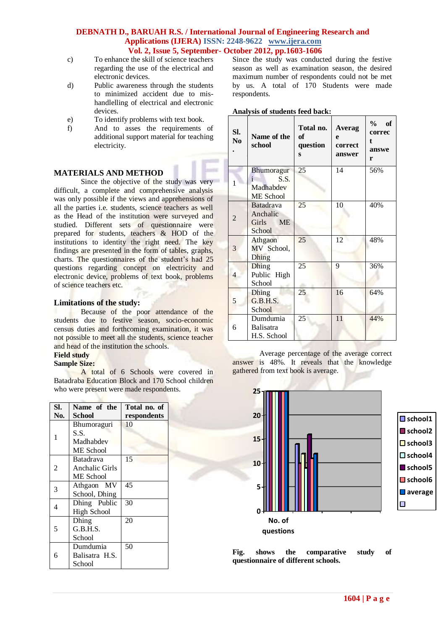### **DEBNATH D., BARUAH R.S. / International Journal of Engineering Research and Applications (IJERA) ISSN: 2248-9622 www.ijera.com Vol. 2, Issue 5, September- October 2012, pp.1603-1606**

- c) To enhance the skill of science teachers regarding the use of the electrical and electronic devices.
- d) Public awareness through the students to minimized accident due to mishandlelling of electrical and electronic devices.
- e) To identify problems with text book.
- f) And to asses the requirements of additional support material for teaching electricity.

## **MATERIALS AND METHOD**

Since the objective of the study was very difficult, a complete and comprehensive analysis was only possible if the views and apprehensions of all the parties i.e. students, science teachers as well as the Head of the institution were surveyed and studied. Different sets of questionnaire were prepared for students, teachers & HOD of the institutions to identity the right need. The key findings are presented in the form of tables, graphs, charts. The questionnaires of the student"s had 25 questions regarding concept on electricity and electronic device, problems of text book, problems of science teachers etc.

### **Limitations of the study:**

Because of the poor attendance of the students due to festive season, socio-economic census duties and forthcoming examination, it was not possible to meet all the students, science teacher and head of the institution the schools.

# **Field study**

**Sample Size:**

A total of 6 Schools were covered in Batadraba Education Block and 170 School children who were present were made respondents.

| SI. | Name of the        | Total no. of |
|-----|--------------------|--------------|
| No. | School             | respondents  |
| 1   | <b>Bhumoraguri</b> | 10           |
|     | S.S.               |              |
|     | Madhabdev          |              |
|     | ME School          |              |
| 2   | Batadrava          | 15           |
|     | Anchalic Girls     |              |
|     | ME School          |              |
| 3   | Athgaon MV         | 45           |
|     | School, Dhing      |              |
| 4   | Dhing Public       | 30           |
|     | <b>High School</b> |              |
| 5   | Dhing              | 20           |
|     | G.B.H.S.           |              |
|     | School             |              |
| б   | Dumdumia           | 50           |
|     | Balisatra H.S.     |              |
|     | School             |              |

Since the study was conducted during the festive season as well as examination season, the desired maximum number of respondents could not be met by us. A total of 170 Students were made respondents.

| SI.<br>N <sub>0</sub> | Name of the<br>school                              | Total no.<br>оf<br>question<br>S | Averag<br>e<br>correct<br>answer | <b>of</b><br>$\frac{6}{10}$<br>correc<br>t.<br>answe<br>r |
|-----------------------|----------------------------------------------------|----------------------------------|----------------------------------|-----------------------------------------------------------|
| 1                     | Bhumoragur<br>S.S.<br>i.<br>Madhabdev<br>ME School | 25                               | 14                               | 56%                                                       |
| 2                     | <b>Batadrava</b><br>Anchalic<br>Girls ME<br>School | 25                               | 10                               | 40%                                                       |
| 3                     | Athgaon<br>MV School,<br><b>Dhing</b>              | 25                               | 12                               | 48%                                                       |
| $\overline{4}$        | <b>Dhing</b><br>Public High<br>School              | 25                               | 9                                | 36%                                                       |
| 5                     | <b>Dhing</b><br>G.B.H.S.<br>School                 | 25                               | 16                               | 64%                                                       |
| 6                     | Dumdumia<br>Balisatra<br>H.S. School               | 25                               | 11                               | 44%                                                       |

#### **Analysis of students feed back:**

Average percentage of the average correct answer is 48%. It reveals that the knowledge gathered from text book is average.



**Fig. shows the comparative study of questionnaire of different schools.**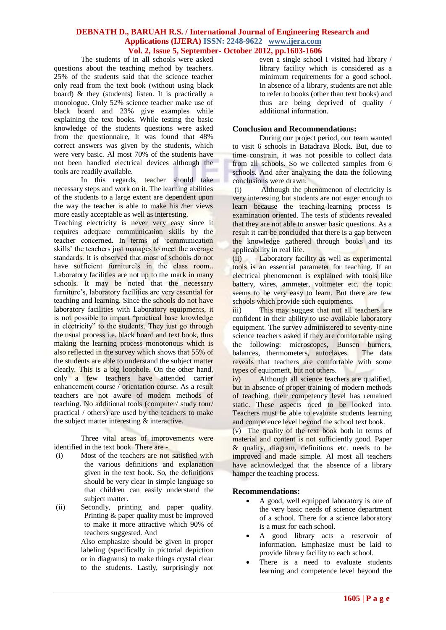### **DEBNATH D., BARUAH R.S. / International Journal of Engineering Research and Applications (IJERA) ISSN: 2248-9622 www.ijera.com Vol. 2, Issue 5, September- October 2012, pp.1603-1606**

The students of in all schools were asked questions about the teaching method by teachers. 25% of the students said that the science teacher only read from the text book (without using black board) & they (students) listen. It is practically a monologue. Only 52% science teacher make use of black board and 23% give examples while explaining the text books. While testing the basic knowledge of the students questions were asked from the questionnaire, It was found that 48% correct answers was given by the students, which were very basic. Al most 70% of the students have not been handled electrical devices although the tools are readily available.

In this regards, teacher should take necessary steps and work on it. The learning abilities of the students to a large extent are dependent upon the way the teacher is able to make his /her views more easily acceptable as well as interesting.

Teaching electricity is never very easy since it requires adequate communication skills by the teacher concerned. In terms of "communication skills' the teachers just manages to meet the average standards. It is observed that most of schools do not have sufficient furniture's in the class room.. Laboratory facilities are not up to the mark in many schools. It may be noted that the necessary furniture's, laboratory facilities are very essential for teaching and learning. Since the schools do not have laboratory facilities with Laboratory equipments, it is not possible to impart "practical base knowledge in electricity" to the students. They just go through the usual process i.e. black board and text book, thus making the learning process monotonous which is also reflected in the survey which shows that 55% of the students are able to understand the subject matter clearly. This is a big loophole. On the other hand, only a few teachers have attended carrier enhancement course / orientation course. As a result teachers are not aware of modern methods of teaching. No additional tools (computer/ study tour/ practical / others) are used by the teachers to make the subject matter interesting & interactive.

Three vital areas of improvements were identified in the text book. There are -

- (i) Most of the teachers are not satisfied with the various definitions and explanation given in the text book. So, the definitions should be very clear in simple language so that children can easily understand the subject matter.
- (ii) Secondly, printing and paper quality. Printing & paper quality must be improved to make it more attractive which 90% of teachers suggested. And

Also emphasize should be given in proper labeling (specifically in pictorial depiction or in diagrams) to make things crystal clear to the students. Lastly, surprisingly not

even a single school I visited had library / library facility which is considered as a minimum requirements for a good school. In absence of a library, students are not able to refer to books (other than text books) and thus are being deprived of quality / additional information.

## **Conclusion and Recommendations:**

During our project period, our team wanted to visit 6 schools in Batadrava Block. But, due to time constrain, it was not possible to collect data from all schools. So we collected samples from 6 schools. And after analyzing the data the following conclusions were drawn:

(i) Although the phenomenon of electricity is very interesting but students are not eager enough to learn because the teaching-learning process is examination oriented. The tests of students revealed that they are not able to answer basic questions. As a result it can be concluded that there is a gap between the knowledge gathered through books and its applicability in real life.

(ii) Laboratory facility as well as experimental tools is an essential parameter for teaching. If an electrical phenomenon is explained with tools like battery, wires, ammeter, voltmeter etc. the topic seems to be very easy to learn. But there are few schools which provide such equipments.

iii) This may suggest that not all teachers are confident in their ability to use available laboratory equipment. The survey administered to seventy-nine science teachers asked if they are comfortable using the following: microscopes, Bunsen burners, balances, thermometers, autoclaves. The data reveals that teachers are comfortable with some types of equipment, but not others.

iv) Although all science teachers are qualified, but in absence of proper training of modern methods of teaching, their competency level has remained static. These aspects need to be looked into. Teachers must be able to evaluate students learning and competence level beyond the school text book.

(v) The quality of the text book both in terms of material and content is not sufficiently good. Paper  $&$  quality, diagram, definitions etc. needs to be improved and made simple. Al most all teachers have acknowledged that the absence of a library hamper the teaching process.

## **Recommendations:**

- A good, well equipped laboratory is one of the very basic needs of science department of a school. There for a science laboratory is a must for each school.
- A good library acts a reservoir of information. Emphasize must be laid to provide library facility to each school.
- There is a need to evaluate students learning and competence level beyond the